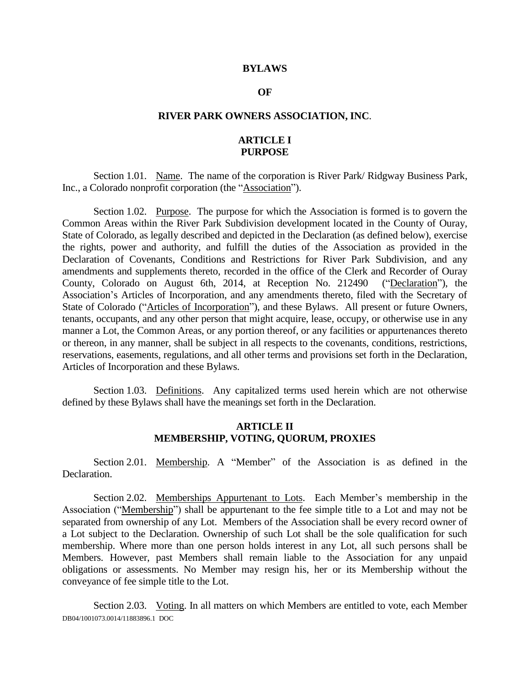#### **BYLAWS**

#### **OF**

### **RIVER PARK OWNERS ASSOCIATION, INC**.

# **ARTICLE I PURPOSE**

Section 1.01. Name. The name of the corporation is River Park/ Ridgway Business Park, Inc., a Colorado nonprofit corporation (the "Association").

Section 1.02. Purpose. The purpose for which the Association is formed is to govern the Common Areas within the River Park Subdivision development located in the County of Ouray, State of Colorado, as legally described and depicted in the Declaration (as defined below), exercise the rights, power and authority, and fulfill the duties of the Association as provided in the Declaration of Covenants, Conditions and Restrictions for River Park Subdivision, and any amendments and supplements thereto, recorded in the office of the Clerk and Recorder of Ouray County, Colorado on August 6th, 2014, at Reception No. 212490 ("Declaration"), the Association's Articles of Incorporation, and any amendments thereto, filed with the Secretary of State of Colorado ("Articles of Incorporation"), and these Bylaws. All present or future Owners, tenants, occupants, and any other person that might acquire, lease, occupy, or otherwise use in any manner a Lot, the Common Areas, or any portion thereof, or any facilities or appurtenances thereto or thereon, in any manner, shall be subject in all respects to the covenants, conditions, restrictions, reservations, easements, regulations, and all other terms and provisions set forth in the Declaration, Articles of Incorporation and these Bylaws.

Section 1.03. Definitions. Any capitalized terms used herein which are not otherwise defined by these Bylaws shall have the meanings set forth in the Declaration.

### **ARTICLE II MEMBERSHIP, VOTING, QUORUM, PROXIES**

Section 2.01. Membership. A "Member" of the Association is as defined in the Declaration.

Section 2.02. Memberships Appurtenant to Lots. Each Member's membership in the Association ("Membership") shall be appurtenant to the fee simple title to a Lot and may not be separated from ownership of any Lot. Members of the Association shall be every record owner of a Lot subject to the Declaration. Ownership of such Lot shall be the sole qualification for such membership. Where more than one person holds interest in any Lot, all such persons shall be Members. However, past Members shall remain liable to the Association for any unpaid obligations or assessments. No Member may resign his, her or its Membership without the conveyance of fee simple title to the Lot.

DB04/1001073.0014/11883896.1 DOC Section 2.03. Voting. In all matters on which Members are entitled to vote, each Member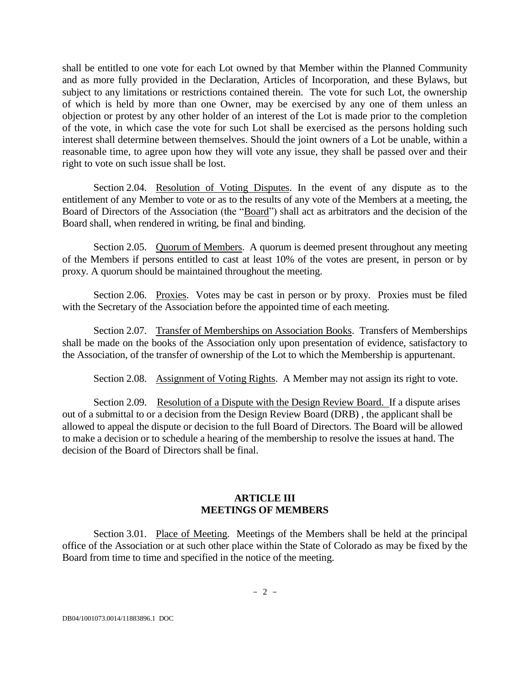shall be entitled to one vote for each Lot owned by that Member within the Planned Community and as more fully provided in the Declaration, Articles of Incorporation, and these Bylaws, but subject to any limitations or restrictions contained therein. The vote for such Lot, the ownership of which is held by more than one Owner, may be exercised by any one of them unless an objection or protest by any other holder of an interest of the Lot is made prior to the completion of the vote, in which case the vote for such Lot shall be exercised as the persons holding such interest shall determine between themselves. Should the joint owners of a Lot be unable, within a reasonable time, to agree upon how they will vote any issue, they shall be passed over and their right to vote on such issue shall be lost.

Section 2.04. Resolution of Voting Disputes. In the event of any dispute as to the entitlement of any Member to vote or as to the results of any vote of the Members at a meeting, the Board of Directors of the Association (the "Board") shall act as arbitrators and the decision of the Board shall, when rendered in writing, be final and binding.

Section 2.05. Quorum of Members. A quorum is deemed present throughout any meeting of the Members if persons entitled to cast at least 10% of the votes are present, in person or by proxy. A quorum should be maintained throughout the meeting.

Section 2.06. Proxies. Votes may be cast in person or by proxy. Proxies must be filed with the Secretary of the Association before the appointed time of each meeting.

Section 2.07. Transfer of Memberships on Association Books. Transfers of Memberships shall be made on the books of the Association only upon presentation of evidence, satisfactory to the Association, of the transfer of ownership of the Lot to which the Membership is appurtenant.

Section 2.08. Assignment of Voting Rights. A Member may not assign its right to vote.

Section 2.09. Resolution of a Dispute with the Design Review Board. If a dispute arises out of a submittal to or a decision from the Design Review Board (DRB) , the applicant shall be allowed to appeal the dispute or decision to the full Board of Directors. The Board will be allowed to make a decision or to schedule a hearing of the membership to resolve the issues at hand. The decision of the Board of Directors shall be final.

# **ARTICLE III MEETINGS OF MEMBERS**

Section 3.01. Place of Meeting. Meetings of the Members shall be held at the principal office of the Association or at such other place within the State of Colorado as may be fixed by the Board from time to time and specified in the notice of the meeting.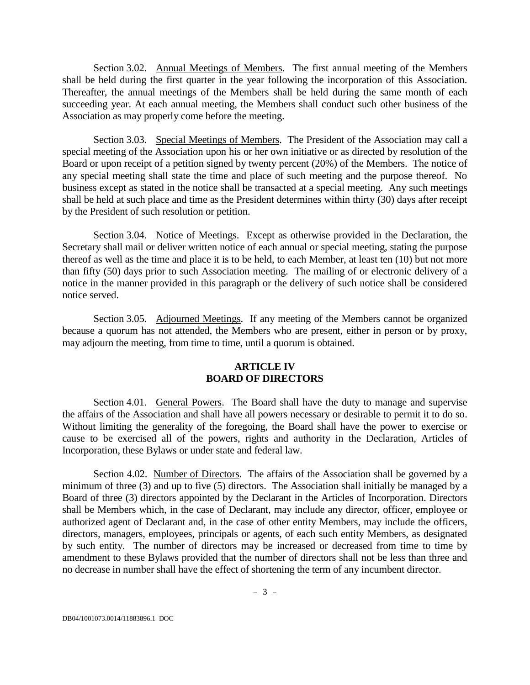Section 3.02. Annual Meetings of Members. The first annual meeting of the Members shall be held during the first quarter in the year following the incorporation of this Association. Thereafter, the annual meetings of the Members shall be held during the same month of each succeeding year. At each annual meeting, the Members shall conduct such other business of the Association as may properly come before the meeting.

Section 3.03. Special Meetings of Members. The President of the Association may call a special meeting of the Association upon his or her own initiative or as directed by resolution of the Board or upon receipt of a petition signed by twenty percent (20%) of the Members. The notice of any special meeting shall state the time and place of such meeting and the purpose thereof. No business except as stated in the notice shall be transacted at a special meeting. Any such meetings shall be held at such place and time as the President determines within thirty (30) days after receipt by the President of such resolution or petition.

Section 3.04. Notice of Meetings. Except as otherwise provided in the Declaration, the Secretary shall mail or deliver written notice of each annual or special meeting, stating the purpose thereof as well as the time and place it is to be held, to each Member, at least ten (10) but not more than fifty (50) days prior to such Association meeting. The mailing of or electronic delivery of a notice in the manner provided in this paragraph or the delivery of such notice shall be considered notice served.

Section 3.05. Adjourned Meetings. If any meeting of the Members cannot be organized because a quorum has not attended, the Members who are present, either in person or by proxy, may adjourn the meeting, from time to time, until a quorum is obtained.

## **ARTICLE IV BOARD OF DIRECTORS**

Section 4.01. General Powers. The Board shall have the duty to manage and supervise the affairs of the Association and shall have all powers necessary or desirable to permit it to do so. Without limiting the generality of the foregoing, the Board shall have the power to exercise or cause to be exercised all of the powers, rights and authority in the Declaration, Articles of Incorporation, these Bylaws or under state and federal law.

Section 4.02. Number of Directors. The affairs of the Association shall be governed by a minimum of three (3) and up to five (5) directors. The Association shall initially be managed by a Board of three (3) directors appointed by the Declarant in the Articles of Incorporation. Directors shall be Members which, in the case of Declarant, may include any director, officer, employee or authorized agent of Declarant and, in the case of other entity Members, may include the officers, directors, managers, employees, principals or agents, of each such entity Members, as designated by such entity. The number of directors may be increased or decreased from time to time by amendment to these Bylaws provided that the number of directors shall not be less than three and no decrease in number shall have the effect of shortening the term of any incumbent director.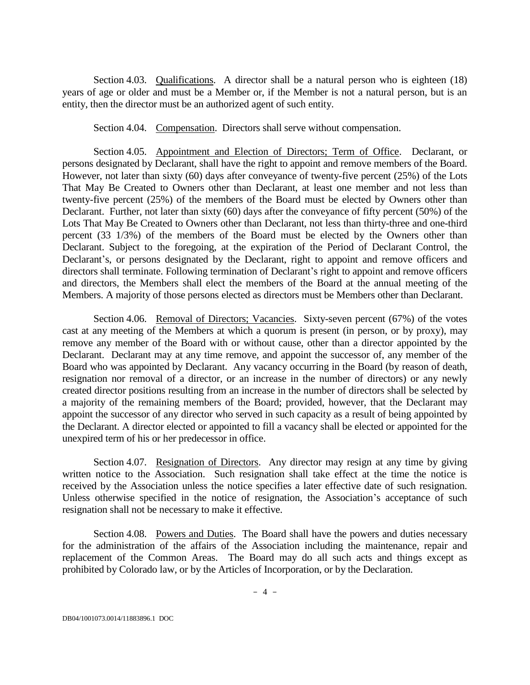Section 4.03. Qualifications. A director shall be a natural person who is eighteen (18) years of age or older and must be a Member or, if the Member is not a natural person, but is an entity, then the director must be an authorized agent of such entity.

Section 4.04. Compensation. Directors shall serve without compensation.

Section 4.05. Appointment and Election of Directors; Term of Office. Declarant, or persons designated by Declarant, shall have the right to appoint and remove members of the Board. However, not later than sixty (60) days after conveyance of twenty-five percent (25%) of the Lots That May Be Created to Owners other than Declarant, at least one member and not less than twenty-five percent (25%) of the members of the Board must be elected by Owners other than Declarant. Further, not later than sixty (60) days after the conveyance of fifty percent (50%) of the Lots That May Be Created to Owners other than Declarant, not less than thirty-three and one-third percent (33 1/3%) of the members of the Board must be elected by the Owners other than Declarant. Subject to the foregoing, at the expiration of the Period of Declarant Control, the Declarant's, or persons designated by the Declarant, right to appoint and remove officers and directors shall terminate. Following termination of Declarant's right to appoint and remove officers and directors, the Members shall elect the members of the Board at the annual meeting of the Members. A majority of those persons elected as directors must be Members other than Declarant.

Section 4.06. Removal of Directors; Vacancies. Sixty-seven percent (67%) of the votes cast at any meeting of the Members at which a quorum is present (in person, or by proxy), may remove any member of the Board with or without cause, other than a director appointed by the Declarant. Declarant may at any time remove, and appoint the successor of, any member of the Board who was appointed by Declarant. Any vacancy occurring in the Board (by reason of death, resignation nor removal of a director, or an increase in the number of directors) or any newly created director positions resulting from an increase in the number of directors shall be selected by a majority of the remaining members of the Board; provided, however, that the Declarant may appoint the successor of any director who served in such capacity as a result of being appointed by the Declarant. A director elected or appointed to fill a vacancy shall be elected or appointed for the unexpired term of his or her predecessor in office.

Section 4.07. Resignation of Directors. Any director may resign at any time by giving written notice to the Association. Such resignation shall take effect at the time the notice is received by the Association unless the notice specifies a later effective date of such resignation. Unless otherwise specified in the notice of resignation, the Association's acceptance of such resignation shall not be necessary to make it effective.

Section 4.08. Powers and Duties. The Board shall have the powers and duties necessary for the administration of the affairs of the Association including the maintenance, repair and replacement of the Common Areas. The Board may do all such acts and things except as prohibited by Colorado law, or by the Articles of Incorporation, or by the Declaration.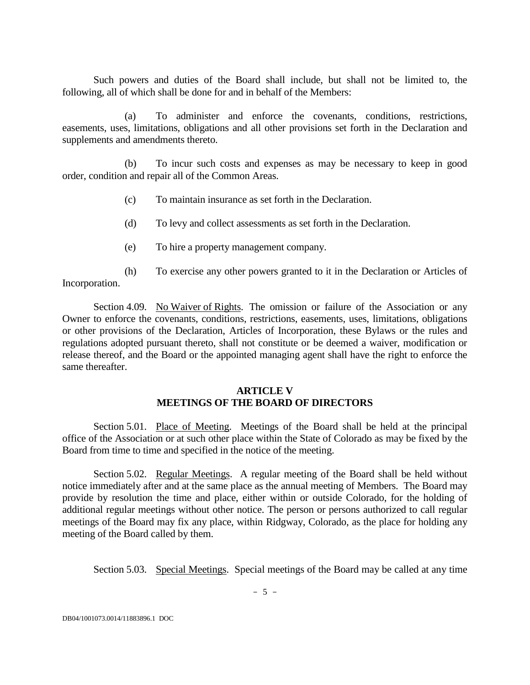Such powers and duties of the Board shall include, but shall not be limited to, the following, all of which shall be done for and in behalf of the Members:

(a) To administer and enforce the covenants, conditions, restrictions, easements, uses, limitations, obligations and all other provisions set forth in the Declaration and supplements and amendments thereto.

(b) To incur such costs and expenses as may be necessary to keep in good order, condition and repair all of the Common Areas.

- (c) To maintain insurance as set forth in the Declaration.
- (d) To levy and collect assessments as set forth in the Declaration.
- (e) To hire a property management company.

(h) To exercise any other powers granted to it in the Declaration or Articles of Incorporation.

Section 4.09. No Waiver of Rights. The omission or failure of the Association or any Owner to enforce the covenants, conditions, restrictions, easements, uses, limitations, obligations or other provisions of the Declaration, Articles of Incorporation, these Bylaws or the rules and regulations adopted pursuant thereto, shall not constitute or be deemed a waiver, modification or release thereof, and the Board or the appointed managing agent shall have the right to enforce the same thereafter.

### **ARTICLE V MEETINGS OF THE BOARD OF DIRECTORS**

Section 5.01. Place of Meeting. Meetings of the Board shall be held at the principal office of the Association or at such other place within the State of Colorado as may be fixed by the Board from time to time and specified in the notice of the meeting.

Section 5.02. Regular Meetings. A regular meeting of the Board shall be held without notice immediately after and at the same place as the annual meeting of Members. The Board may provide by resolution the time and place, either within or outside Colorado, for the holding of additional regular meetings without other notice. The person or persons authorized to call regular meetings of the Board may fix any place, within Ridgway, Colorado, as the place for holding any meeting of the Board called by them.

Section 5.03. Special Meetings. Special meetings of the Board may be called at any time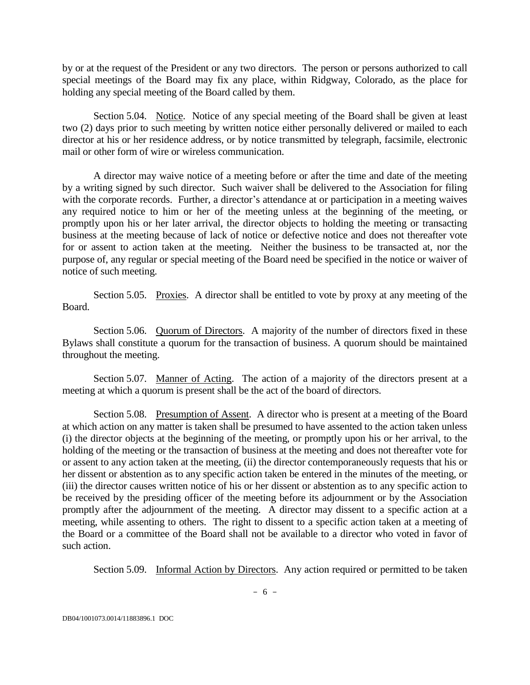by or at the request of the President or any two directors. The person or persons authorized to call special meetings of the Board may fix any place, within Ridgway, Colorado, as the place for holding any special meeting of the Board called by them.

Section 5.04. Notice. Notice of any special meeting of the Board shall be given at least two (2) days prior to such meeting by written notice either personally delivered or mailed to each director at his or her residence address, or by notice transmitted by telegraph, facsimile, electronic mail or other form of wire or wireless communication.

A director may waive notice of a meeting before or after the time and date of the meeting by a writing signed by such director. Such waiver shall be delivered to the Association for filing with the corporate records. Further, a director's attendance at or participation in a meeting waives any required notice to him or her of the meeting unless at the beginning of the meeting, or promptly upon his or her later arrival, the director objects to holding the meeting or transacting business at the meeting because of lack of notice or defective notice and does not thereafter vote for or assent to action taken at the meeting. Neither the business to be transacted at, nor the purpose of, any regular or special meeting of the Board need be specified in the notice or waiver of notice of such meeting.

Section 5.05. Proxies. A director shall be entitled to vote by proxy at any meeting of the Board.

Section 5.06. Quorum of Directors. A majority of the number of directors fixed in these Bylaws shall constitute a quorum for the transaction of business. A quorum should be maintained throughout the meeting.

Section 5.07. Manner of Acting. The action of a majority of the directors present at a meeting at which a quorum is present shall be the act of the board of directors.

Section 5.08. Presumption of Assent. A director who is present at a meeting of the Board at which action on any matter is taken shall be presumed to have assented to the action taken unless (i) the director objects at the beginning of the meeting, or promptly upon his or her arrival, to the holding of the meeting or the transaction of business at the meeting and does not thereafter vote for or assent to any action taken at the meeting, (ii) the director contemporaneously requests that his or her dissent or abstention as to any specific action taken be entered in the minutes of the meeting, or (iii) the director causes written notice of his or her dissent or abstention as to any specific action to be received by the presiding officer of the meeting before its adjournment or by the Association promptly after the adjournment of the meeting. A director may dissent to a specific action at a meeting, while assenting to others. The right to dissent to a specific action taken at a meeting of the Board or a committee of the Board shall not be available to a director who voted in favor of such action.

Section 5.09. Informal Action by Directors. Any action required or permitted to be taken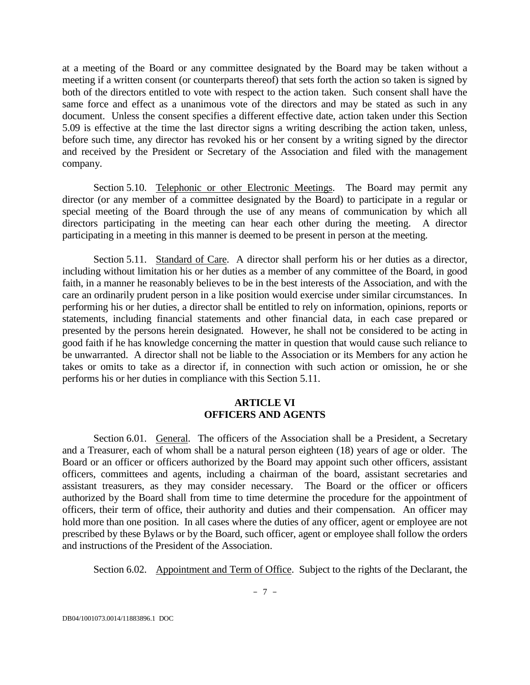at a meeting of the Board or any committee designated by the Board may be taken without a meeting if a written consent (or counterparts thereof) that sets forth the action so taken is signed by both of the directors entitled to vote with respect to the action taken. Such consent shall have the same force and effect as a unanimous vote of the directors and may be stated as such in any document. Unless the consent specifies a different effective date, action taken under this Section 5.09 is effective at the time the last director signs a writing describing the action taken, unless, before such time, any director has revoked his or her consent by a writing signed by the director and received by the President or Secretary of the Association and filed with the management company.

Section 5.10. Telephonic or other Electronic Meetings. The Board may permit any director (or any member of a committee designated by the Board) to participate in a regular or special meeting of the Board through the use of any means of communication by which all directors participating in the meeting can hear each other during the meeting. A director participating in a meeting in this manner is deemed to be present in person at the meeting.

Section 5.11. Standard of Care. A director shall perform his or her duties as a director, including without limitation his or her duties as a member of any committee of the Board, in good faith, in a manner he reasonably believes to be in the best interests of the Association, and with the care an ordinarily prudent person in a like position would exercise under similar circumstances. In performing his or her duties, a director shall be entitled to rely on information, opinions, reports or statements, including financial statements and other financial data, in each case prepared or presented by the persons herein designated. However, he shall not be considered to be acting in good faith if he has knowledge concerning the matter in question that would cause such reliance to be unwarranted. A director shall not be liable to the Association or its Members for any action he takes or omits to take as a director if, in connection with such action or omission, he or she performs his or her duties in compliance with this Section 5.11.

# **ARTICLE VI OFFICERS AND AGENTS**

Section 6.01. General. The officers of the Association shall be a President, a Secretary and a Treasurer, each of whom shall be a natural person eighteen (18) years of age or older. The Board or an officer or officers authorized by the Board may appoint such other officers, assistant officers, committees and agents, including a chairman of the board, assistant secretaries and assistant treasurers, as they may consider necessary. The Board or the officer or officers authorized by the Board shall from time to time determine the procedure for the appointment of officers, their term of office, their authority and duties and their compensation. An officer may hold more than one position. In all cases where the duties of any officer, agent or employee are not prescribed by these Bylaws or by the Board, such officer, agent or employee shall follow the orders and instructions of the President of the Association.

Section 6.02. Appointment and Term of Office. Subject to the rights of the Declarant, the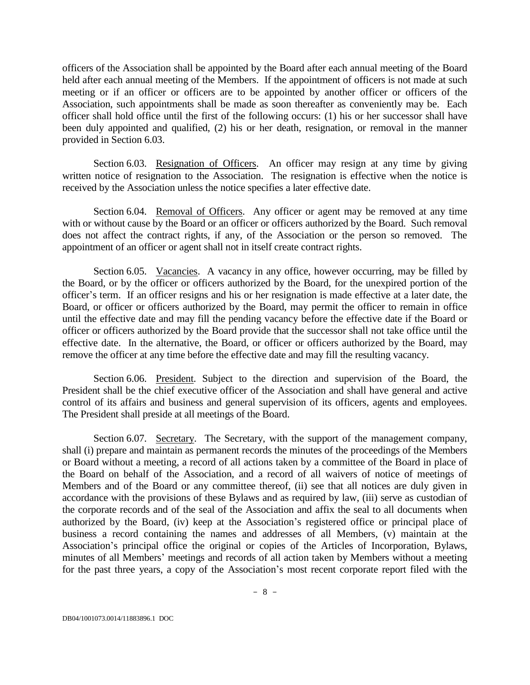officers of the Association shall be appointed by the Board after each annual meeting of the Board held after each annual meeting of the Members. If the appointment of officers is not made at such meeting or if an officer or officers are to be appointed by another officer or officers of the Association, such appointments shall be made as soon thereafter as conveniently may be. Each officer shall hold office until the first of the following occurs: (1) his or her successor shall have been duly appointed and qualified, (2) his or her death, resignation, or removal in the manner provided in Section 6.03.

Section 6.03. Resignation of Officers. An officer may resign at any time by giving written notice of resignation to the Association. The resignation is effective when the notice is received by the Association unless the notice specifies a later effective date.

Section 6.04. Removal of Officers. Any officer or agent may be removed at any time with or without cause by the Board or an officer or officers authorized by the Board. Such removal does not affect the contract rights, if any, of the Association or the person so removed. The appointment of an officer or agent shall not in itself create contract rights.

Section 6.05. Vacancies. A vacancy in any office, however occurring, may be filled by the Board, or by the officer or officers authorized by the Board, for the unexpired portion of the officer's term. If an officer resigns and his or her resignation is made effective at a later date, the Board, or officer or officers authorized by the Board, may permit the officer to remain in office until the effective date and may fill the pending vacancy before the effective date if the Board or officer or officers authorized by the Board provide that the successor shall not take office until the effective date. In the alternative, the Board, or officer or officers authorized by the Board, may remove the officer at any time before the effective date and may fill the resulting vacancy.

Section 6.06. President. Subject to the direction and supervision of the Board, the President shall be the chief executive officer of the Association and shall have general and active control of its affairs and business and general supervision of its officers, agents and employees. The President shall preside at all meetings of the Board.

Section 6.07. Secretary. The Secretary, with the support of the management company, shall (i) prepare and maintain as permanent records the minutes of the proceedings of the Members or Board without a meeting, a record of all actions taken by a committee of the Board in place of the Board on behalf of the Association, and a record of all waivers of notice of meetings of Members and of the Board or any committee thereof, (ii) see that all notices are duly given in accordance with the provisions of these Bylaws and as required by law, (iii) serve as custodian of the corporate records and of the seal of the Association and affix the seal to all documents when authorized by the Board, (iv) keep at the Association's registered office or principal place of business a record containing the names and addresses of all Members, (v) maintain at the Association's principal office the original or copies of the Articles of Incorporation, Bylaws, minutes of all Members' meetings and records of all action taken by Members without a meeting for the past three years, a copy of the Association's most recent corporate report filed with the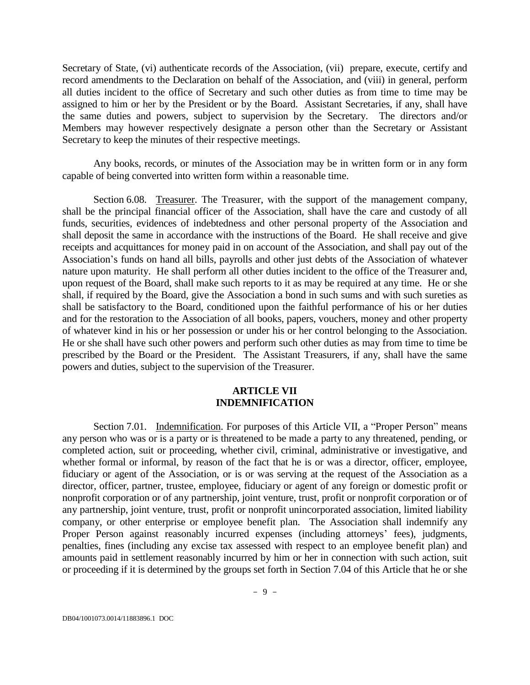Secretary of State, (vi) authenticate records of the Association, (vii) prepare, execute, certify and record amendments to the Declaration on behalf of the Association, and (viii) in general, perform all duties incident to the office of Secretary and such other duties as from time to time may be assigned to him or her by the President or by the Board. Assistant Secretaries, if any, shall have the same duties and powers, subject to supervision by the Secretary. The directors and/or Members may however respectively designate a person other than the Secretary or Assistant Secretary to keep the minutes of their respective meetings.

Any books, records, or minutes of the Association may be in written form or in any form capable of being converted into written form within a reasonable time.

Section 6.08. Treasurer. The Treasurer, with the support of the management company, shall be the principal financial officer of the Association, shall have the care and custody of all funds, securities, evidences of indebtedness and other personal property of the Association and shall deposit the same in accordance with the instructions of the Board. He shall receive and give receipts and acquittances for money paid in on account of the Association, and shall pay out of the Association's funds on hand all bills, payrolls and other just debts of the Association of whatever nature upon maturity. He shall perform all other duties incident to the office of the Treasurer and, upon request of the Board, shall make such reports to it as may be required at any time. He or she shall, if required by the Board, give the Association a bond in such sums and with such sureties as shall be satisfactory to the Board, conditioned upon the faithful performance of his or her duties and for the restoration to the Association of all books, papers, vouchers, money and other property of whatever kind in his or her possession or under his or her control belonging to the Association. He or she shall have such other powers and perform such other duties as may from time to time be prescribed by the Board or the President. The Assistant Treasurers, if any, shall have the same powers and duties, subject to the supervision of the Treasurer.

## **ARTICLE VII INDEMNIFICATION**

Section 7.01. Indemnification. For purposes of this Article VII, a "Proper Person" means any person who was or is a party or is threatened to be made a party to any threatened, pending, or completed action, suit or proceeding, whether civil, criminal, administrative or investigative, and whether formal or informal, by reason of the fact that he is or was a director, officer, employee, fiduciary or agent of the Association, or is or was serving at the request of the Association as a director, officer, partner, trustee, employee, fiduciary or agent of any foreign or domestic profit or nonprofit corporation or of any partnership, joint venture, trust, profit or nonprofit corporation or of any partnership, joint venture, trust, profit or nonprofit unincorporated association, limited liability company, or other enterprise or employee benefit plan. The Association shall indemnify any Proper Person against reasonably incurred expenses (including attorneys' fees), judgments, penalties, fines (including any excise tax assessed with respect to an employee benefit plan) and amounts paid in settlement reasonably incurred by him or her in connection with such action, suit or proceeding if it is determined by the groups set forth in Section 7.04 of this Article that he or she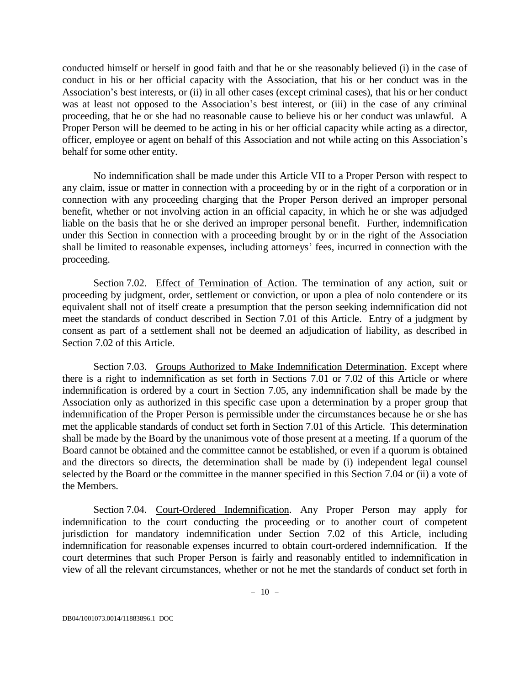conducted himself or herself in good faith and that he or she reasonably believed (i) in the case of conduct in his or her official capacity with the Association, that his or her conduct was in the Association's best interests, or (ii) in all other cases (except criminal cases), that his or her conduct was at least not opposed to the Association's best interest, or (iii) in the case of any criminal proceeding, that he or she had no reasonable cause to believe his or her conduct was unlawful. A Proper Person will be deemed to be acting in his or her official capacity while acting as a director, officer, employee or agent on behalf of this Association and not while acting on this Association's behalf for some other entity.

No indemnification shall be made under this Article VII to a Proper Person with respect to any claim, issue or matter in connection with a proceeding by or in the right of a corporation or in connection with any proceeding charging that the Proper Person derived an improper personal benefit, whether or not involving action in an official capacity, in which he or she was adjudged liable on the basis that he or she derived an improper personal benefit. Further, indemnification under this Section in connection with a proceeding brought by or in the right of the Association shall be limited to reasonable expenses, including attorneys' fees, incurred in connection with the proceeding.

Section 7.02. Effect of Termination of Action. The termination of any action, suit or proceeding by judgment, order, settlement or conviction, or upon a plea of nolo contendere or its equivalent shall not of itself create a presumption that the person seeking indemnification did not meet the standards of conduct described in Section 7.01 of this Article. Entry of a judgment by consent as part of a settlement shall not be deemed an adjudication of liability, as described in Section 7.02 of this Article.

Section 7.03. Groups Authorized to Make Indemnification Determination. Except where there is a right to indemnification as set forth in Sections 7.01 or 7.02 of this Article or where indemnification is ordered by a court in Section 7.05, any indemnification shall be made by the Association only as authorized in this specific case upon a determination by a proper group that indemnification of the Proper Person is permissible under the circumstances because he or she has met the applicable standards of conduct set forth in Section 7.01 of this Article. This determination shall be made by the Board by the unanimous vote of those present at a meeting. If a quorum of the Board cannot be obtained and the committee cannot be established, or even if a quorum is obtained and the directors so directs, the determination shall be made by (i) independent legal counsel selected by the Board or the committee in the manner specified in this Section 7.04 or (ii) a vote of the Members.

Section 7.04. Court-Ordered Indemnification. Any Proper Person may apply for indemnification to the court conducting the proceeding or to another court of competent jurisdiction for mandatory indemnification under Section 7.02 of this Article, including indemnification for reasonable expenses incurred to obtain court-ordered indemnification. If the court determines that such Proper Person is fairly and reasonably entitled to indemnification in view of all the relevant circumstances, whether or not he met the standards of conduct set forth in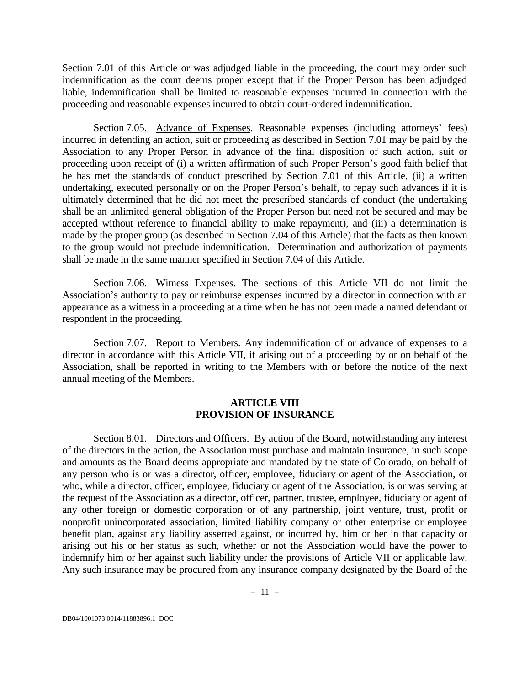Section 7.01 of this Article or was adjudged liable in the proceeding, the court may order such indemnification as the court deems proper except that if the Proper Person has been adjudged liable, indemnification shall be limited to reasonable expenses incurred in connection with the proceeding and reasonable expenses incurred to obtain court-ordered indemnification.

Section 7.05. Advance of Expenses. Reasonable expenses (including attorneys' fees) incurred in defending an action, suit or proceeding as described in Section 7.01 may be paid by the Association to any Proper Person in advance of the final disposition of such action, suit or proceeding upon receipt of (i) a written affirmation of such Proper Person's good faith belief that he has met the standards of conduct prescribed by Section 7.01 of this Article, (ii) a written undertaking, executed personally or on the Proper Person's behalf, to repay such advances if it is ultimately determined that he did not meet the prescribed standards of conduct (the undertaking shall be an unlimited general obligation of the Proper Person but need not be secured and may be accepted without reference to financial ability to make repayment), and (iii) a determination is made by the proper group (as described in Section 7.04 of this Article) that the facts as then known to the group would not preclude indemnification. Determination and authorization of payments shall be made in the same manner specified in Section 7.04 of this Article.

Section 7.06. Witness Expenses. The sections of this Article VII do not limit the Association's authority to pay or reimburse expenses incurred by a director in connection with an appearance as a witness in a proceeding at a time when he has not been made a named defendant or respondent in the proceeding.

Section 7.07. Report to Members. Any indemnification of or advance of expenses to a director in accordance with this Article VII, if arising out of a proceeding by or on behalf of the Association, shall be reported in writing to the Members with or before the notice of the next annual meeting of the Members.

### **ARTICLE VIII PROVISION OF INSURANCE**

Section 8.01. Directors and Officers. By action of the Board, notwithstanding any interest of the directors in the action, the Association must purchase and maintain insurance, in such scope and amounts as the Board deems appropriate and mandated by the state of Colorado, on behalf of any person who is or was a director, officer, employee, fiduciary or agent of the Association, or who, while a director, officer, employee, fiduciary or agent of the Association, is or was serving at the request of the Association as a director, officer, partner, trustee, employee, fiduciary or agent of any other foreign or domestic corporation or of any partnership, joint venture, trust, profit or nonprofit unincorporated association, limited liability company or other enterprise or employee benefit plan, against any liability asserted against, or incurred by, him or her in that capacity or arising out his or her status as such, whether or not the Association would have the power to indemnify him or her against such liability under the provisions of Article VII or applicable law. Any such insurance may be procured from any insurance company designated by the Board of the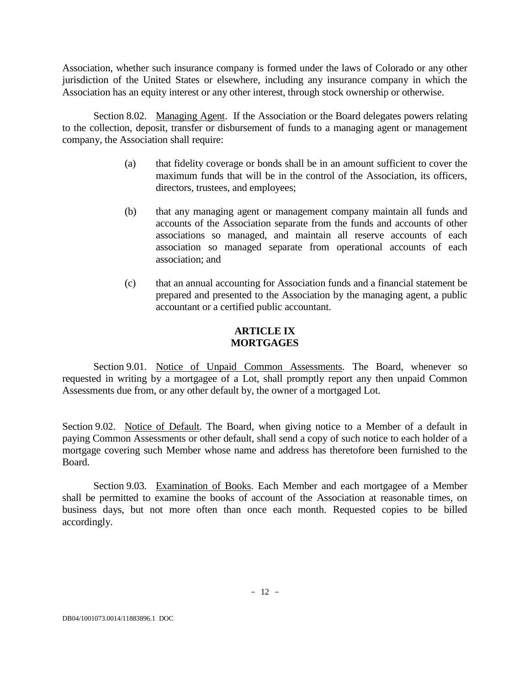Association, whether such insurance company is formed under the laws of Colorado or any other jurisdiction of the United States or elsewhere, including any insurance company in which the Association has an equity interest or any other interest, through stock ownership or otherwise.

Section 8.02. Managing Agent. If the Association or the Board delegates powers relating to the collection, deposit, transfer or disbursement of funds to a managing agent or management company, the Association shall require:

- (a) that fidelity coverage or bonds shall be in an amount sufficient to cover the maximum funds that will be in the control of the Association, its officers, directors, trustees, and employees;
- (b) that any managing agent or management company maintain all funds and accounts of the Association separate from the funds and accounts of other associations so managed, and maintain all reserve accounts of each association so managed separate from operational accounts of each association; and
- (c) that an annual accounting for Association funds and a financial statement be prepared and presented to the Association by the managing agent, a public accountant or a certified public accountant.

# **ARTICLE IX MORTGAGES**

Section 9.01. Notice of Unpaid Common Assessments. The Board, whenever so requested in writing by a mortgagee of a Lot, shall promptly report any then unpaid Common Assessments due from, or any other default by, the owner of a mortgaged Lot.

Section 9.02. Notice of Default. The Board, when giving notice to a Member of a default in paying Common Assessments or other default, shall send a copy of such notice to each holder of a mortgage covering such Member whose name and address has theretofore been furnished to the Board.

Section 9.03. Examination of Books. Each Member and each mortgagee of a Member shall be permitted to examine the books of account of the Association at reasonable times, on business days, but not more often than once each month. Requested copies to be billed accordingly.